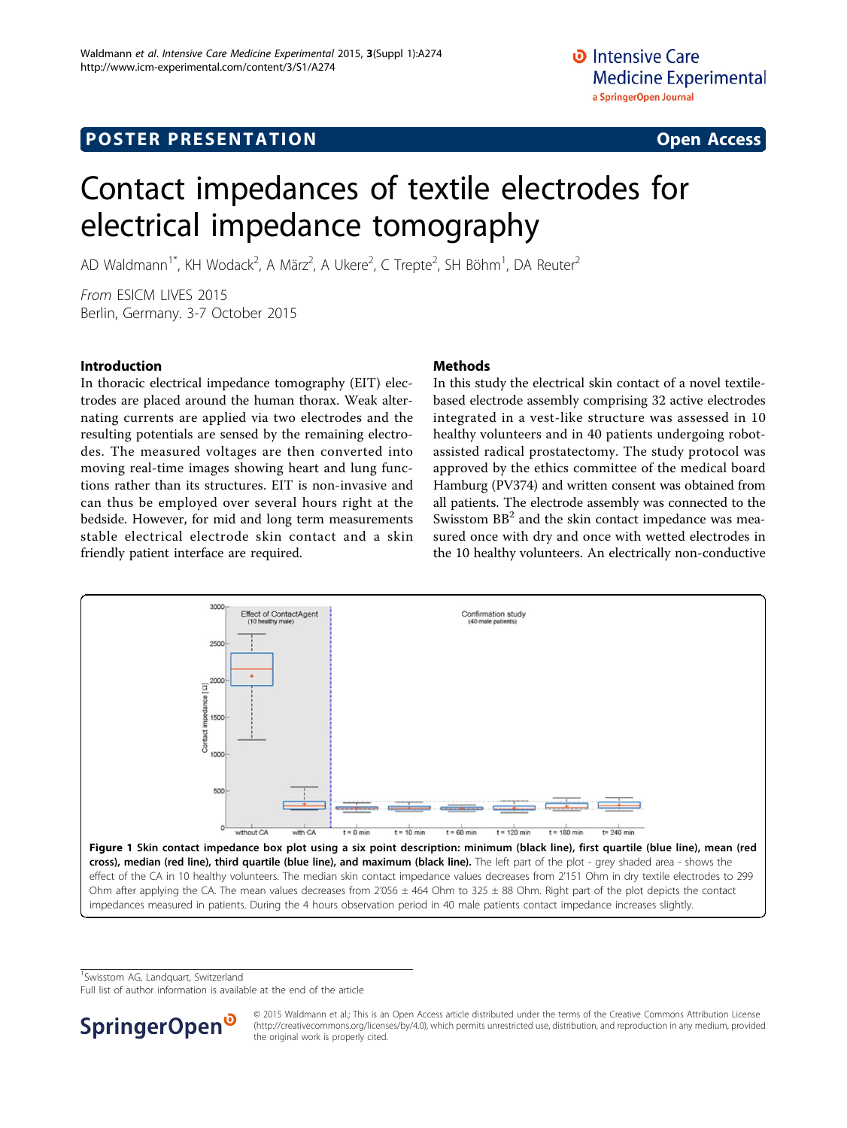# Contact impedances of textile electrodes for electrical impedance tomography

AD Waldmann<sup>1\*</sup>, KH Wodack<sup>2</sup>, A März<sup>2</sup>, A Ukere<sup>2</sup>, C Trepte<sup>2</sup>, SH Böhm<sup>1</sup>, DA Reuter<sup>2</sup>

From ESICM LIVES 2015 Berlin, Germany. 3-7 October 2015

### Introduction

In thoracic electrical impedance tomography (EIT) electrodes are placed around the human thorax. Weak alternating currents are applied via two electrodes and the resulting potentials are sensed by the remaining electrodes. The measured voltages are then converted into moving real-time images showing heart and lung functions rather than its structures. EIT is non-invasive and can thus be employed over several hours right at the bedside. However, for mid and long term measurements stable electrical electrode skin contact and a skin friendly patient interface are required.

## **Methods**

In this study the electrical skin contact of a novel textilebased electrode assembly comprising 32 active electrodes integrated in a vest-like structure was assessed in 10 healthy volunteers and in 40 patients undergoing robotassisted radical prostatectomy. The study protocol was approved by the ethics committee of the medical board Hamburg (PV374) and written consent was obtained from all patients. The electrode assembly was connected to the Swisstom  $BB<sup>2</sup>$  and the skin contact impedance was measured once with dry and once with wetted electrodes in the 10 healthy volunteers. An electrically non-conductive



cross), median (red line), third quartile (blue line), and maximum (black line). The left part of the plot - grey shaded area - shows the effect of the CA in 10 healthy volunteers. The median skin contact impedance values decreases from 2'151 Ohm in dry textile electrodes to 299 Ohm after applying the CA. The mean values decreases from  $2'056 \pm 464$  Ohm to 325  $\pm$  88 Ohm. Right part of the plot depicts the contact impedances measured in patients. During the 4 hours observation period in 40 male patients contact impedance increases slightly.

<sup>1</sup> Swisstom AG, Landquart, Switzerland

Full list of author information is available at the end of the article



© 2015 Waldmann et al.; This is an Open Access article distributed under the terms of the Creative Commons Attribution License [\(http://creativecommons.org/licenses/by/4.0](http://creativecommons.org/licenses/by/4.0)), which permits unrestricted use, distribution, and reproduction in any medium, provided the original work is properly cited.